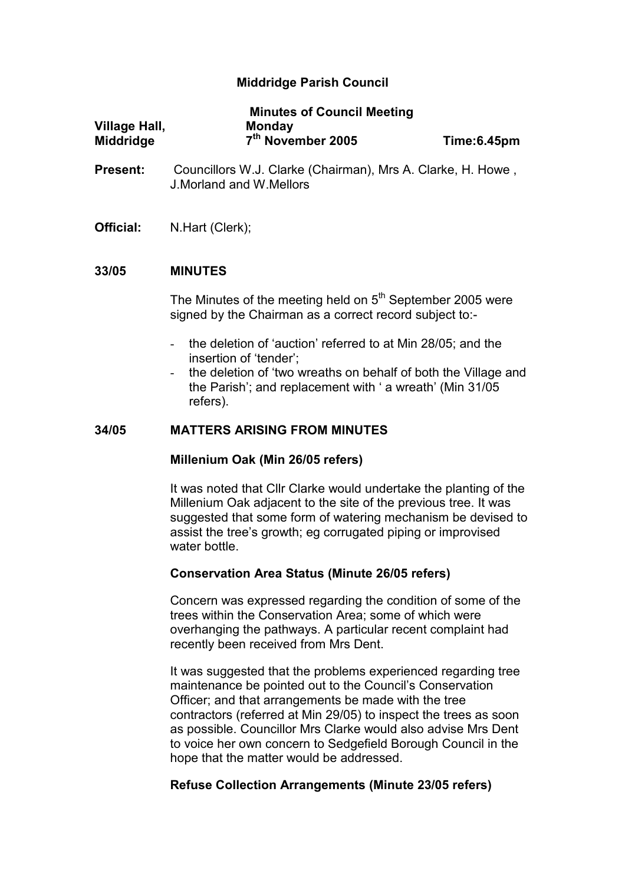# Middridge Parish Council

|                                          | <b>Minutes of Council Meeting</b>              |             |
|------------------------------------------|------------------------------------------------|-------------|
| <b>Village Hall,</b><br><b>Middridge</b> | <b>Monday</b><br>7 <sup>th</sup> November 2005 | Time:6.45pm |
|                                          |                                                |             |

- Present: Councillors W.J. Clarke (Chairman), Mrs A. Clarke, H. Howe, J.Morland and W.Mellors
- Official: N.Hart (Clerk);

#### 33/05 MINUTES

The Minutes of the meeting held on  $5<sup>th</sup>$  September 2005 were signed by the Chairman as a correct record subject to:-

- the deletion of 'auction' referred to at Min 28/05; and the insertion of 'tender';
- the deletion of 'two wreaths on behalf of both the Village and the Parish'; and replacement with ' a wreath' (Min 31/05 refers).

#### 34/05 MATTERS ARISING FROM MINUTES

#### Millenium Oak (Min 26/05 refers)

It was noted that Cllr Clarke would undertake the planting of the Millenium Oak adjacent to the site of the previous tree. It was suggested that some form of watering mechanism be devised to assist the tree's growth; eg corrugated piping or improvised water bottle.

#### Conservation Area Status (Minute 26/05 refers)

Concern was expressed regarding the condition of some of the trees within the Conservation Area; some of which were overhanging the pathways. A particular recent complaint had recently been received from Mrs Dent.

It was suggested that the problems experienced regarding tree maintenance be pointed out to the Council's Conservation Officer; and that arrangements be made with the tree contractors (referred at Min 29/05) to inspect the trees as soon as possible. Councillor Mrs Clarke would also advise Mrs Dent to voice her own concern to Sedgefield Borough Council in the hope that the matter would be addressed.

#### Refuse Collection Arrangements (Minute 23/05 refers)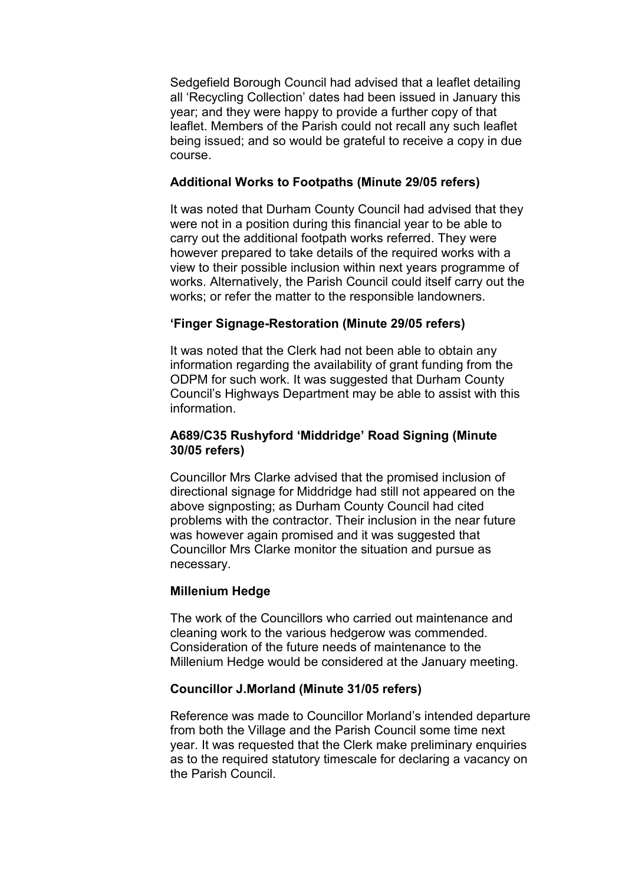Sedgefield Borough Council had advised that a leaflet detailing all 'Recycling Collection' dates had been issued in January this year; and they were happy to provide a further copy of that leaflet. Members of the Parish could not recall any such leaflet being issued; and so would be grateful to receive a copy in due course.

### Additional Works to Footpaths (Minute 29/05 refers)

It was noted that Durham County Council had advised that they were not in a position during this financial year to be able to carry out the additional footpath works referred. They were however prepared to take details of the required works with a view to their possible inclusion within next years programme of works. Alternatively, the Parish Council could itself carry out the works; or refer the matter to the responsible landowners.

# 'Finger Signage-Restoration (Minute 29/05 refers)

It was noted that the Clerk had not been able to obtain any information regarding the availability of grant funding from the ODPM for such work. It was suggested that Durham County Council's Highways Department may be able to assist with this information.

### A689/C35 Rushyford 'Middridge' Road Signing (Minute 30/05 refers)

Councillor Mrs Clarke advised that the promised inclusion of directional signage for Middridge had still not appeared on the above signposting; as Durham County Council had cited problems with the contractor. Their inclusion in the near future was however again promised and it was suggested that Councillor Mrs Clarke monitor the situation and pursue as necessary.

# Millenium Hedge

The work of the Councillors who carried out maintenance and cleaning work to the various hedgerow was commended. Consideration of the future needs of maintenance to the Millenium Hedge would be considered at the January meeting.

# Councillor J.Morland (Minute 31/05 refers)

Reference was made to Councillor Morland's intended departure from both the Village and the Parish Council some time next year. It was requested that the Clerk make preliminary enquiries as to the required statutory timescale for declaring a vacancy on the Parish Council.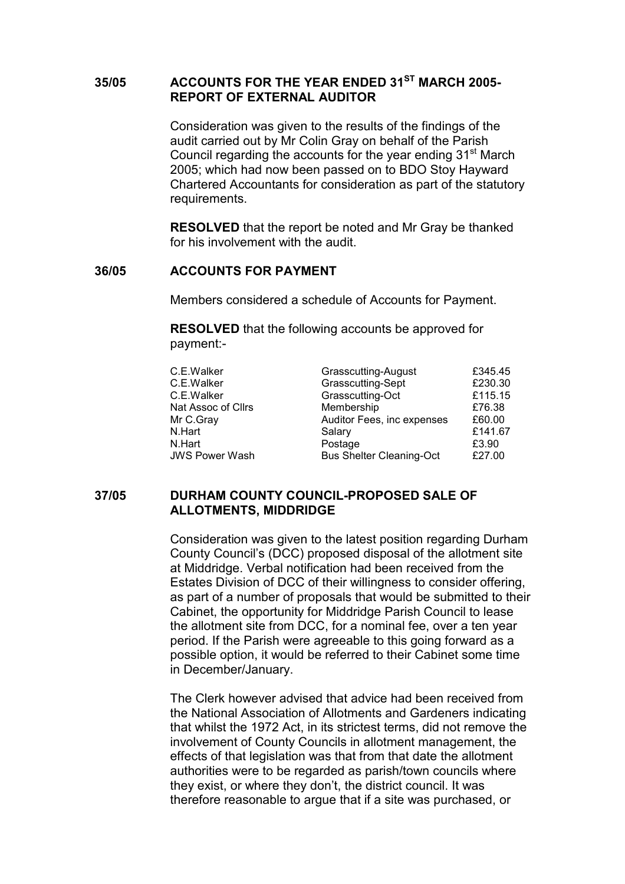# 35/05 ACCOUNTS FOR THE YEAR ENDED 31<sup>ST</sup> MARCH 2005-REPORT OF EXTERNAL AUDITOR

Consideration was given to the results of the findings of the audit carried out by Mr Colin Gray on behalf of the Parish Council regarding the accounts for the year ending 31<sup>st</sup> March 2005; which had now been passed on to BDO Stoy Hayward Chartered Accountants for consideration as part of the statutory requirements.

RESOLVED that the report be noted and Mr Gray be thanked for his involvement with the audit.

## 36/05 ACCOUNTS FOR PAYMENT

Members considered a schedule of Accounts for Payment.

 RESOLVED that the following accounts be approved for payment:-

| £345.45 |
|---------|
| £230.30 |
| £115.15 |
| £76.38  |
| £60.00  |
| £141.67 |
| £3.90   |
| £27.00  |
|         |

### 37/05 DURHAM COUNTY COUNCIL-PROPOSED SALE OF ALLOTMENTS, MIDDRIDGE

Consideration was given to the latest position regarding Durham County Council's (DCC) proposed disposal of the allotment site at Middridge. Verbal notification had been received from the Estates Division of DCC of their willingness to consider offering, as part of a number of proposals that would be submitted to their Cabinet, the opportunity for Middridge Parish Council to lease the allotment site from DCC, for a nominal fee, over a ten year period. If the Parish were agreeable to this going forward as a possible option, it would be referred to their Cabinet some time in December/January.

The Clerk however advised that advice had been received from the National Association of Allotments and Gardeners indicating that whilst the 1972 Act, in its strictest terms, did not remove the involvement of County Councils in allotment management, the effects of that legislation was that from that date the allotment authorities were to be regarded as parish/town councils where they exist, or where they don't, the district council. It was therefore reasonable to argue that if a site was purchased, or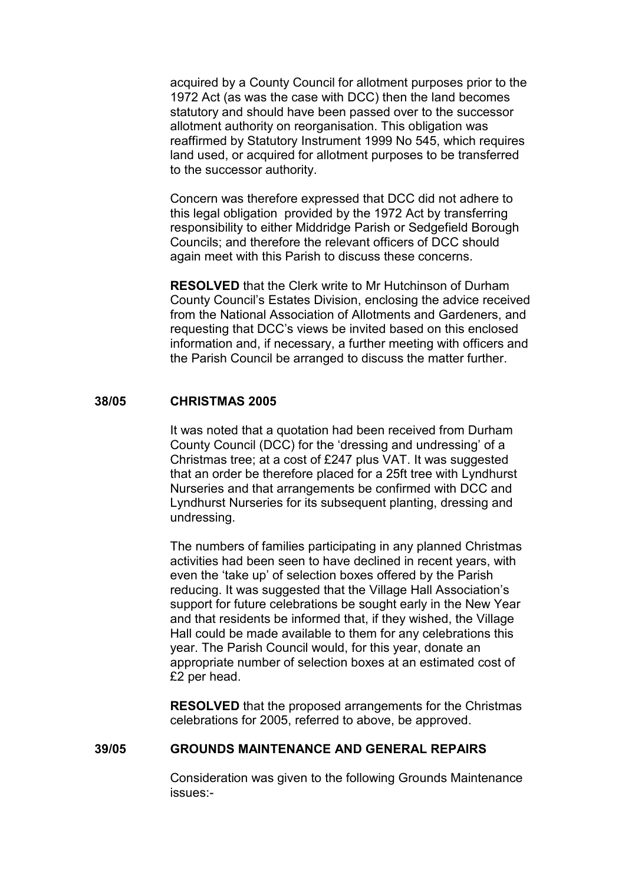acquired by a County Council for allotment purposes prior to the 1972 Act (as was the case with DCC) then the land becomes statutory and should have been passed over to the successor allotment authority on reorganisation. This obligation was reaffirmed by Statutory Instrument 1999 No 545, which requires land used, or acquired for allotment purposes to be transferred to the successor authority.

Concern was therefore expressed that DCC did not adhere to this legal obligation provided by the 1972 Act by transferring responsibility to either Middridge Parish or Sedgefield Borough Councils; and therefore the relevant officers of DCC should again meet with this Parish to discuss these concerns.

RESOLVED that the Clerk write to Mr Hutchinson of Durham County Council's Estates Division, enclosing the advice received from the National Association of Allotments and Gardeners, and requesting that DCC's views be invited based on this enclosed information and, if necessary, a further meeting with officers and the Parish Council be arranged to discuss the matter further.

#### 38/05 CHRISTMAS 2005

It was noted that a quotation had been received from Durham County Council (DCC) for the 'dressing and undressing' of a Christmas tree; at a cost of £247 plus VAT. It was suggested that an order be therefore placed for a 25ft tree with Lyndhurst Nurseries and that arrangements be confirmed with DCC and Lyndhurst Nurseries for its subsequent planting, dressing and undressing.

The numbers of families participating in any planned Christmas activities had been seen to have declined in recent years, with even the 'take up' of selection boxes offered by the Parish reducing. It was suggested that the Village Hall Association's support for future celebrations be sought early in the New Year and that residents be informed that, if they wished, the Village Hall could be made available to them for any celebrations this year. The Parish Council would, for this year, donate an appropriate number of selection boxes at an estimated cost of £2 per head.

RESOLVED that the proposed arrangements for the Christmas celebrations for 2005, referred to above, be approved.

#### 39/05 GROUNDS MAINTENANCE AND GENERAL REPAIRS

Consideration was given to the following Grounds Maintenance issues:-